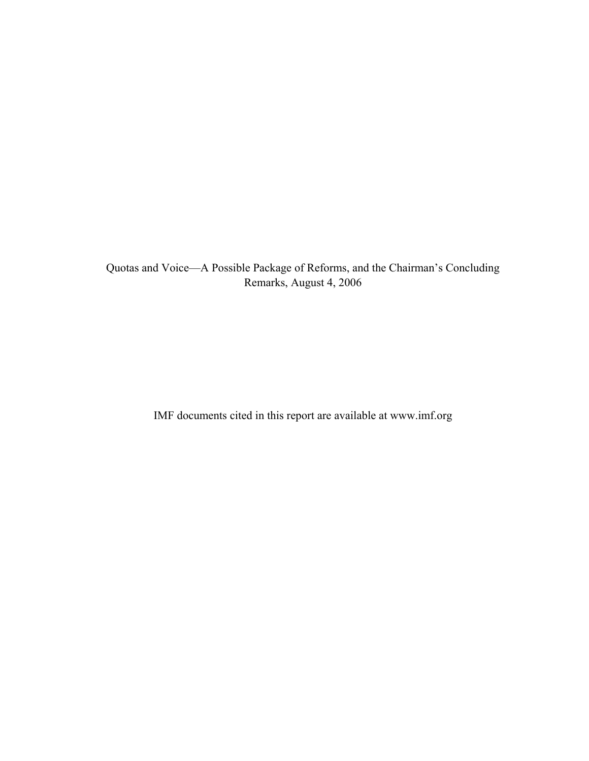Quotas and Voice—A Possible Package of Reforms, and the Chairman's Concluding Remarks, August 4, 2006

IMF documents cited in this report are available at www.imf.org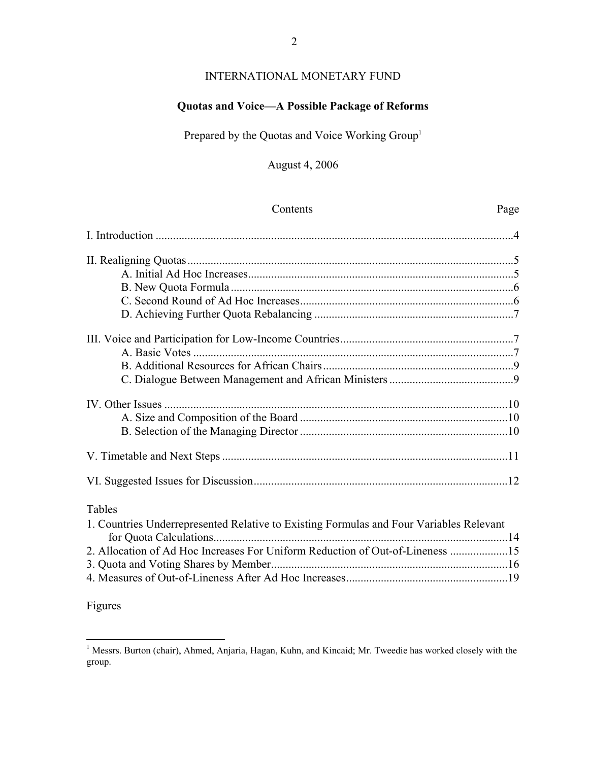# INTERNATIONAL MONETARY FUND

## **Quotas and Voice—A Possible Package of Reforms**

Prepared by the Quotas and Voice Working Group<sup>1</sup>

## August 4, 2006

| Contents                                                                                | Page |
|-----------------------------------------------------------------------------------------|------|
|                                                                                         |      |
|                                                                                         |      |
|                                                                                         |      |
|                                                                                         |      |
|                                                                                         |      |
|                                                                                         |      |
|                                                                                         |      |
|                                                                                         |      |
|                                                                                         |      |
|                                                                                         |      |
|                                                                                         |      |
|                                                                                         |      |
|                                                                                         |      |
|                                                                                         |      |
|                                                                                         |      |
| Tables                                                                                  |      |
| 1. Countries Underrepresented Relative to Existing Formulas and Four Variables Relevant |      |
|                                                                                         |      |
| 2. Allocation of Ad Hoc Increases For Uniform Reduction of Out-of-Lineness 15           |      |
|                                                                                         |      |
|                                                                                         |      |
|                                                                                         |      |

Figures

<sup>1&</sup>lt;br><sup>1</sup> Messrs. Burton (chair), Ahmed, Anjaria, Hagan, Kuhn, and Kincaid; Mr. Tweedie has worked closely with the group.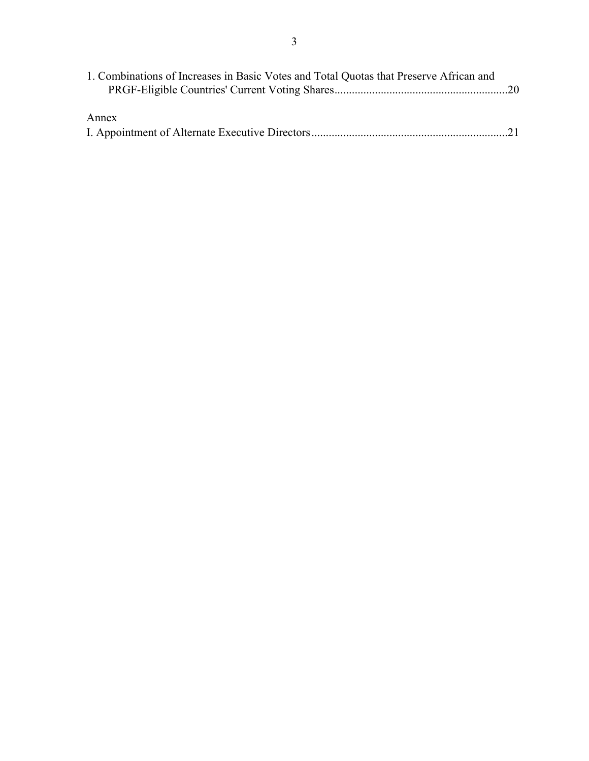| 1. Combinations of Increases in Basic Votes and Total Quotas that Preserve African and |  |
|----------------------------------------------------------------------------------------|--|
|                                                                                        |  |
|                                                                                        |  |
| Annex                                                                                  |  |
|                                                                                        |  |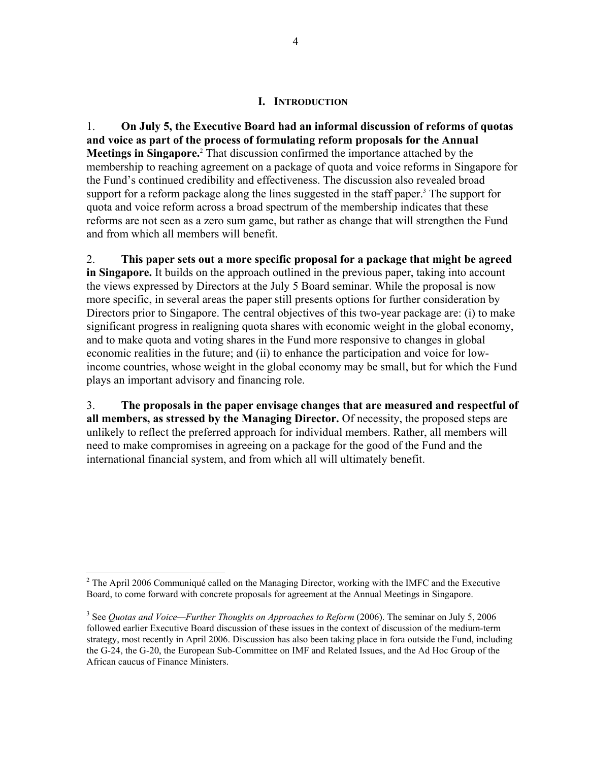### **I. INTRODUCTION**

1. **On July 5, the Executive Board had an informal discussion of reforms of quotas and voice as part of the process of formulating reform proposals for the Annual Meetings in Singapore.**<sup>2</sup> That discussion confirmed the importance attached by the membership to reaching agreement on a package of quota and voice reforms in Singapore for the Fund's continued credibility and effectiveness. The discussion also revealed broad support for a reform package along the lines suggested in the staff paper.<sup>3</sup> The support for quota and voice reform across a broad spectrum of the membership indicates that these reforms are not seen as a zero sum game, but rather as change that will strengthen the Fund and from which all members will benefit.

2. **This paper sets out a more specific proposal for a package that might be agreed in Singapore.** It builds on the approach outlined in the previous paper, taking into account the views expressed by Directors at the July 5 Board seminar. While the proposal is now more specific, in several areas the paper still presents options for further consideration by Directors prior to Singapore. The central objectives of this two-year package are: (i) to make significant progress in realigning quota shares with economic weight in the global economy, and to make quota and voting shares in the Fund more responsive to changes in global economic realities in the future; and (ii) to enhance the participation and voice for lowincome countries, whose weight in the global economy may be small, but for which the Fund plays an important advisory and financing role.

3. **The proposals in the paper envisage changes that are measured and respectful of all members, as stressed by the Managing Director.** Of necessity, the proposed steps are unlikely to reflect the preferred approach for individual members. Rather, all members will need to make compromises in agreeing on a package for the good of the Fund and the international financial system, and from which all will ultimately benefit.

<sup>&</sup>lt;sup>2</sup> The April 2006 Communiqué called on the Managing Director, working with the IMFC and the Executive Board, to come forward with concrete proposals for agreement at the Annual Meetings in Singapore.

<sup>&</sup>lt;sup>3</sup> See *Quotas and Voice—Further Thoughts on Approaches to Reform* (2006). The seminar on July 5, 2006 followed earlier Executive Board discussion of these issues in the context of discussion of the medium-term strategy, most recently in April 2006. Discussion has also been taking place in fora outside the Fund, including the G-24, the G-20, the European Sub-Committee on IMF and Related Issues, and the Ad Hoc Group of the African caucus of Finance Ministers.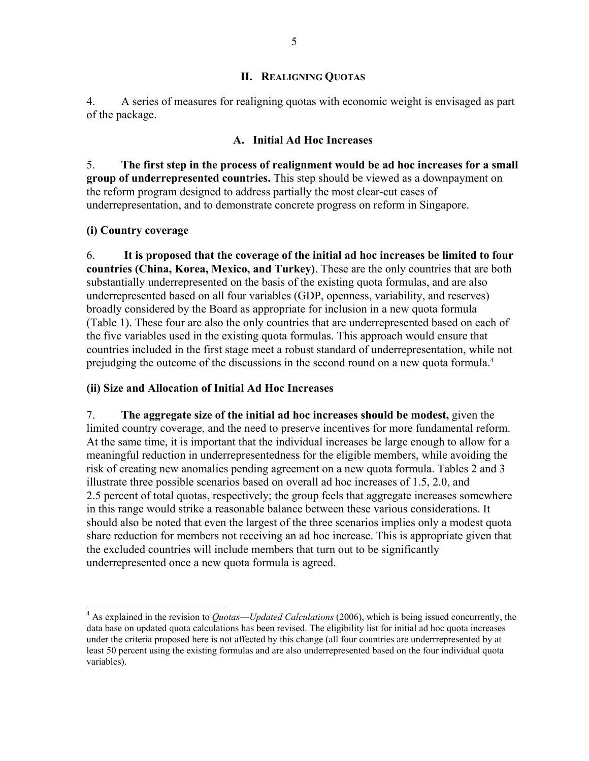### **II. REALIGNING QUOTAS**

4. A series of measures for realigning quotas with economic weight is envisaged as part of the package.

### **A. Initial Ad Hoc Increases**

5. **The first step in the process of realignment would be ad hoc increases for a small group of underrepresented countries.** This step should be viewed as a downpayment on the reform program designed to address partially the most clear-cut cases of underrepresentation, and to demonstrate concrete progress on reform in Singapore.

### **(i) Country coverage**

1

6. **It is proposed that the coverage of the initial ad hoc increases be limited to four countries (China, Korea, Mexico, and Turkey)**. These are the only countries that are both substantially underrepresented on the basis of the existing quota formulas, and are also underrepresented based on all four variables (GDP, openness, variability, and reserves) broadly considered by the Board as appropriate for inclusion in a new quota formula (Table 1). These four are also the only countries that are underrepresented based on each of the five variables used in the existing quota formulas. This approach would ensure that countries included in the first stage meet a robust standard of underrepresentation, while not prejudging the outcome of the discussions in the second round on a new quota formula.4

### **(ii) Size and Allocation of Initial Ad Hoc Increases**

7. **The aggregate size of the initial ad hoc increases should be modest,** given the limited country coverage, and the need to preserve incentives for more fundamental reform. At the same time, it is important that the individual increases be large enough to allow for a meaningful reduction in underrepresentedness for the eligible members, while avoiding the risk of creating new anomalies pending agreement on a new quota formula. Tables 2 and 3 illustrate three possible scenarios based on overall ad hoc increases of 1.5, 2.0, and 2.5 percent of total quotas, respectively; the group feels that aggregate increases somewhere in this range would strike a reasonable balance between these various considerations. It should also be noted that even the largest of the three scenarios implies only a modest quota share reduction for members not receiving an ad hoc increase. This is appropriate given that the excluded countries will include members that turn out to be significantly underrepresented once a new quota formula is agreed.

<sup>4</sup> As explained in the revision to *Quotas––Updated Calculations* (2006), which is being issued concurrently, the data base on updated quota calculations has been revised. The eligibility list for initial ad hoc quota increases under the criteria proposed here is not affected by this change (all four countries are underrrepresented by at least 50 percent using the existing formulas and are also underrepresented based on the four individual quota variables).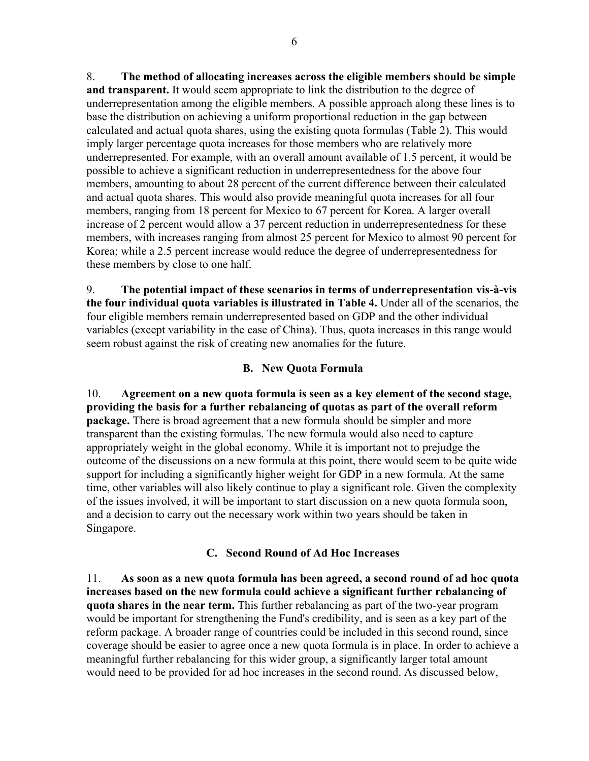8. **The method of allocating increases across the eligible members should be simple and transparent.** It would seem appropriate to link the distribution to the degree of underrepresentation among the eligible members. A possible approach along these lines is to base the distribution on achieving a uniform proportional reduction in the gap between calculated and actual quota shares, using the existing quota formulas (Table 2). This would imply larger percentage quota increases for those members who are relatively more underrepresented. For example, with an overall amount available of 1.5 percent, it would be possible to achieve a significant reduction in underrepresentedness for the above four members, amounting to about 28 percent of the current difference between their calculated and actual quota shares. This would also provide meaningful quota increases for all four members, ranging from 18 percent for Mexico to 67 percent for Korea. A larger overall increase of 2 percent would allow a 37 percent reduction in underrepresentedness for these members, with increases ranging from almost 25 percent for Mexico to almost 90 percent for Korea; while a 2.5 percent increase would reduce the degree of underrepresentedness for these members by close to one half.

9. **The potential impact of these scenarios in terms of underrepresentation vis-à-vis the four individual quota variables is illustrated in Table 4.** Under all of the scenarios, the four eligible members remain underrepresented based on GDP and the other individual variables (except variability in the case of China). Thus, quota increases in this range would seem robust against the risk of creating new anomalies for the future.

### **B. New Quota Formula**

10. **Agreement on a new quota formula is seen as a key element of the second stage, providing the basis for a further rebalancing of quotas as part of the overall reform package.** There is broad agreement that a new formula should be simpler and more transparent than the existing formulas. The new formula would also need to capture appropriately weight in the global economy. While it is important not to prejudge the outcome of the discussions on a new formula at this point, there would seem to be quite wide support for including a significantly higher weight for GDP in a new formula. At the same time, other variables will also likely continue to play a significant role. Given the complexity of the issues involved, it will be important to start discussion on a new quota formula soon, and a decision to carry out the necessary work within two years should be taken in Singapore.

### **C. Second Round of Ad Hoc Increases**

11. **As soon as a new quota formula has been agreed, a second round of ad hoc quota increases based on the new formula could achieve a significant further rebalancing of quota shares in the near term.** This further rebalancing as part of the two-year program would be important for strengthening the Fund's credibility, and is seen as a key part of the reform package. A broader range of countries could be included in this second round, since coverage should be easier to agree once a new quota formula is in place. In order to achieve a meaningful further rebalancing for this wider group, a significantly larger total amount would need to be provided for ad hoc increases in the second round. As discussed below,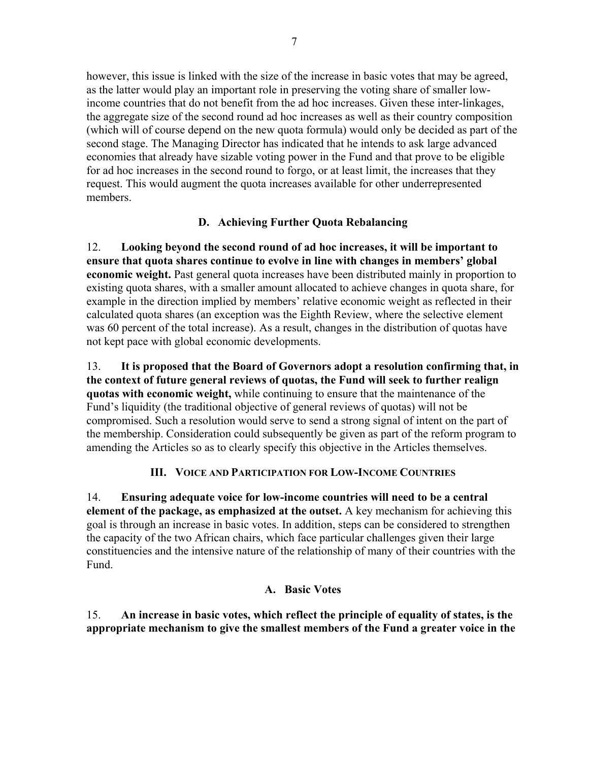however, this issue is linked with the size of the increase in basic votes that may be agreed, as the latter would play an important role in preserving the voting share of smaller lowincome countries that do not benefit from the ad hoc increases. Given these inter-linkages, the aggregate size of the second round ad hoc increases as well as their country composition (which will of course depend on the new quota formula) would only be decided as part of the second stage. The Managing Director has indicated that he intends to ask large advanced economies that already have sizable voting power in the Fund and that prove to be eligible for ad hoc increases in the second round to forgo, or at least limit, the increases that they request. This would augment the quota increases available for other underrepresented members.

## **D. Achieving Further Quota Rebalancing**

12. **Looking beyond the second round of ad hoc increases, it will be important to ensure that quota shares continue to evolve in line with changes in members' global economic weight.** Past general quota increases have been distributed mainly in proportion to existing quota shares, with a smaller amount allocated to achieve changes in quota share, for example in the direction implied by members' relative economic weight as reflected in their calculated quota shares (an exception was the Eighth Review, where the selective element was 60 percent of the total increase). As a result, changes in the distribution of quotas have not kept pace with global economic developments.

13. **It is proposed that the Board of Governors adopt a resolution confirming that, in the context of future general reviews of quotas, the Fund will seek to further realign quotas with economic weight,** while continuing to ensure that the maintenance of the Fund's liquidity (the traditional objective of general reviews of quotas) will not be compromised. Such a resolution would serve to send a strong signal of intent on the part of the membership. Consideration could subsequently be given as part of the reform program to amending the Articles so as to clearly specify this objective in the Articles themselves.

## **III. VOICE AND PARTICIPATION FOR LOW-INCOME COUNTRIES**

14. **Ensuring adequate voice for low-income countries will need to be a central element of the package, as emphasized at the outset.** A key mechanism for achieving this goal is through an increase in basic votes. In addition, steps can be considered to strengthen the capacity of the two African chairs, which face particular challenges given their large constituencies and the intensive nature of the relationship of many of their countries with the Fund.

### **A. Basic Votes**

15. **An increase in basic votes, which reflect the principle of equality of states, is the appropriate mechanism to give the smallest members of the Fund a greater voice in the**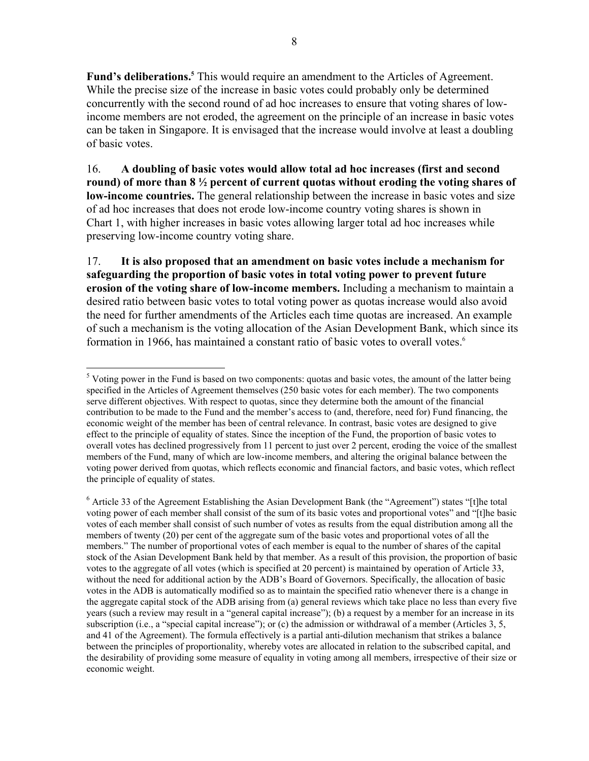**Fund's deliberations.**<sup>5</sup> This would require an amendment to the Articles of Agreement. While the precise size of the increase in basic votes could probably only be determined concurrently with the second round of ad hoc increases to ensure that voting shares of lowincome members are not eroded, the agreement on the principle of an increase in basic votes can be taken in Singapore. It is envisaged that the increase would involve at least a doubling of basic votes.

16. **A doubling of basic votes would allow total ad hoc increases (first and second round) of more than 8 ½ percent of current quotas without eroding the voting shares of low-income countries.** The general relationship between the increase in basic votes and size of ad hoc increases that does not erode low-income country voting shares is shown in Chart 1, with higher increases in basic votes allowing larger total ad hoc increases while preserving low-income country voting share.

17. **It is also proposed that an amendment on basic votes include a mechanism for safeguarding the proportion of basic votes in total voting power to prevent future erosion of the voting share of low-income members.** Including a mechanism to maintain a desired ratio between basic votes to total voting power as quotas increase would also avoid the need for further amendments of the Articles each time quotas are increased. An example of such a mechanism is the voting allocation of the Asian Development Bank, which since its formation in 1966, has maintained a constant ratio of basic votes to overall votes.<sup>6</sup>

 $\overline{a}$ <sup>5</sup> Voting power in the Fund is based on two components: quotas and basic votes, the amount of the latter being specified in the Articles of Agreement themselves (250 basic votes for each member). The two components serve different objectives. With respect to quotas, since they determine both the amount of the financial contribution to be made to the Fund and the member's access to (and, therefore, need for) Fund financing, the economic weight of the member has been of central relevance. In contrast, basic votes are designed to give effect to the principle of equality of states. Since the inception of the Fund, the proportion of basic votes to overall votes has declined progressively from 11 percent to just over 2 percent, eroding the voice of the smallest members of the Fund, many of which are low-income members, and altering the original balance between the voting power derived from quotas, which reflects economic and financial factors, and basic votes, which reflect the principle of equality of states.

<sup>&</sup>lt;sup>6</sup> Article 33 of the Agreement Establishing the Asian Development Bank (the "Agreement") states "[t]he total voting power of each member shall consist of the sum of its basic votes and proportional votes" and "[t]he basic votes of each member shall consist of such number of votes as results from the equal distribution among all the members of twenty (20) per cent of the aggregate sum of the basic votes and proportional votes of all the members." The number of proportional votes of each member is equal to the number of shares of the capital stock of the Asian Development Bank held by that member. As a result of this provision, the proportion of basic votes to the aggregate of all votes (which is specified at 20 percent) is maintained by operation of Article 33, without the need for additional action by the ADB's Board of Governors. Specifically, the allocation of basic votes in the ADB is automatically modified so as to maintain the specified ratio whenever there is a change in the aggregate capital stock of the ADB arising from (a) general reviews which take place no less than every five years (such a review may result in a "general capital increase"); (b) a request by a member for an increase in its subscription (i.e., a "special capital increase"); or (c) the admission or withdrawal of a member (Articles 3, 5, and 41 of the Agreement). The formula effectively is a partial anti-dilution mechanism that strikes a balance between the principles of proportionality, whereby votes are allocated in relation to the subscribed capital, and the desirability of providing some measure of equality in voting among all members, irrespective of their size or economic weight.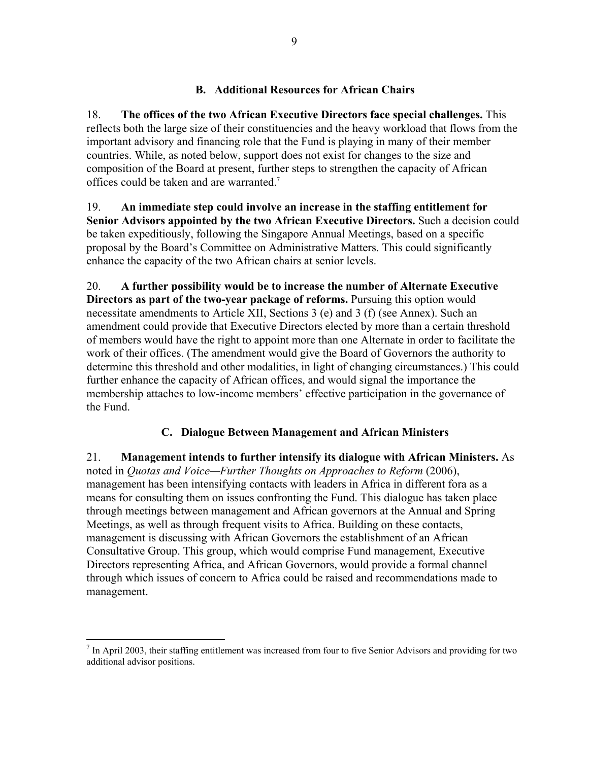### **B. Additional Resources for African Chairs**

18. **The offices of the two African Executive Directors face special challenges.** This reflects both the large size of their constituencies and the heavy workload that flows from the important advisory and financing role that the Fund is playing in many of their member countries. While, as noted below, support does not exist for changes to the size and composition of the Board at present, further steps to strengthen the capacity of African offices could be taken and are warranted.<sup>7</sup>

19. **An immediate step could involve an increase in the staffing entitlement for Senior Advisors appointed by the two African Executive Directors.** Such a decision could be taken expeditiously, following the Singapore Annual Meetings, based on a specific proposal by the Board's Committee on Administrative Matters. This could significantly enhance the capacity of the two African chairs at senior levels.

20. **A further possibility would be to increase the number of Alternate Executive Directors as part of the two-year package of reforms.** Pursuing this option would necessitate amendments to Article XII, Sections 3 (e) and 3 (f) (see Annex). Such an amendment could provide that Executive Directors elected by more than a certain threshold of members would have the right to appoint more than one Alternate in order to facilitate the work of their offices. (The amendment would give the Board of Governors the authority to determine this threshold and other modalities, in light of changing circumstances.) This could further enhance the capacity of African offices, and would signal the importance the membership attaches to low-income members' effective participation in the governance of the Fund.

### **C. Dialogue Between Management and African Ministers**

21. **Management intends to further intensify its dialogue with African Ministers.** As noted in *Quotas and Voice—Further Thoughts on Approaches to Reform* (2006), management has been intensifying contacts with leaders in Africa in different fora as a means for consulting them on issues confronting the Fund. This dialogue has taken place through meetings between management and African governors at the Annual and Spring Meetings, as well as through frequent visits to Africa. Building on these contacts, management is discussing with African Governors the establishment of an African Consultative Group. This group, which would comprise Fund management, Executive Directors representing Africa, and African Governors, would provide a formal channel through which issues of concern to Africa could be raised and recommendations made to management.

<u>.</u>

 $<sup>7</sup>$  In April 2003, their staffing entitlement was increased from four to five Senior Advisors and providing for two</sup> additional advisor positions.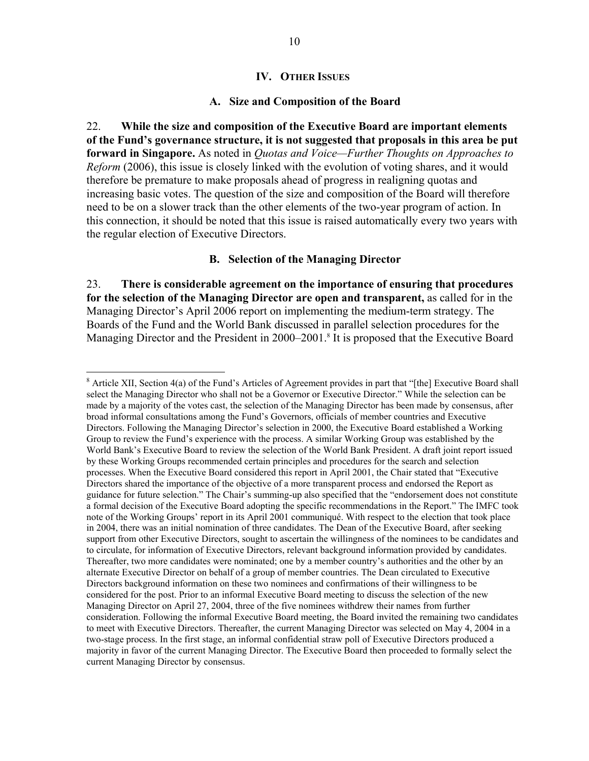#### **IV. OTHER ISSUES**

#### **A. Size and Composition of the Board**

22. **While the size and composition of the Executive Board are important elements of the Fund's governance structure, it is not suggested that proposals in this area be put forward in Singapore.** As noted in *Quotas and Voice—Further Thoughts on Approaches to Reform* (2006), this issue is closely linked with the evolution of voting shares, and it would therefore be premature to make proposals ahead of progress in realigning quotas and increasing basic votes. The question of the size and composition of the Board will therefore need to be on a slower track than the other elements of the two-year program of action. In this connection, it should be noted that this issue is raised automatically every two years with the regular election of Executive Directors.

### **B. Selection of the Managing Director**

23. **There is considerable agreement on the importance of ensuring that procedures for the selection of the Managing Director are open and transparent,** as called for in the Managing Director's April 2006 report on implementing the medium-term strategy. The Boards of the Fund and the World Bank discussed in parallel selection procedures for the Managing Director and the President in 2000–2001.<sup>8</sup> It is proposed that the Executive Board

 $\overline{a}$ 

 $8$  Article XII, Section 4(a) of the Fund's Articles of Agreement provides in part that "[the] Executive Board shall select the Managing Director who shall not be a Governor or Executive Director." While the selection can be made by a majority of the votes cast, the selection of the Managing Director has been made by consensus, after broad informal consultations among the Fund's Governors, officials of member countries and Executive Directors. Following the Managing Director's selection in 2000, the Executive Board established a Working Group to review the Fund's experience with the process. A similar Working Group was established by the World Bank's Executive Board to review the selection of the World Bank President. A draft joint report issued by these Working Groups recommended certain principles and procedures for the search and selection processes. When the Executive Board considered this report in April 2001, the Chair stated that "Executive Directors shared the importance of the objective of a more transparent process and endorsed the Report as guidance for future selection." The Chair's summing-up also specified that the "endorsement does not constitute a formal decision of the Executive Board adopting the specific recommendations in the Report." The IMFC took note of the Working Groups' report in its April 2001 communiqué. With respect to the election that took place in 2004, there was an initial nomination of three candidates. The Dean of the Executive Board, after seeking support from other Executive Directors, sought to ascertain the willingness of the nominees to be candidates and to circulate, for information of Executive Directors, relevant background information provided by candidates. Thereafter, two more candidates were nominated; one by a member country's authorities and the other by an alternate Executive Director on behalf of a group of member countries. The Dean circulated to Executive Directors background information on these two nominees and confirmations of their willingness to be considered for the post. Prior to an informal Executive Board meeting to discuss the selection of the new Managing Director on April 27, 2004, three of the five nominees withdrew their names from further consideration. Following the informal Executive Board meeting, the Board invited the remaining two candidates to meet with Executive Directors. Thereafter, the current Managing Director was selected on May 4, 2004 in a two-stage process. In the first stage, an informal confidential straw poll of Executive Directors produced a majority in favor of the current Managing Director. The Executive Board then proceeded to formally select the current Managing Director by consensus.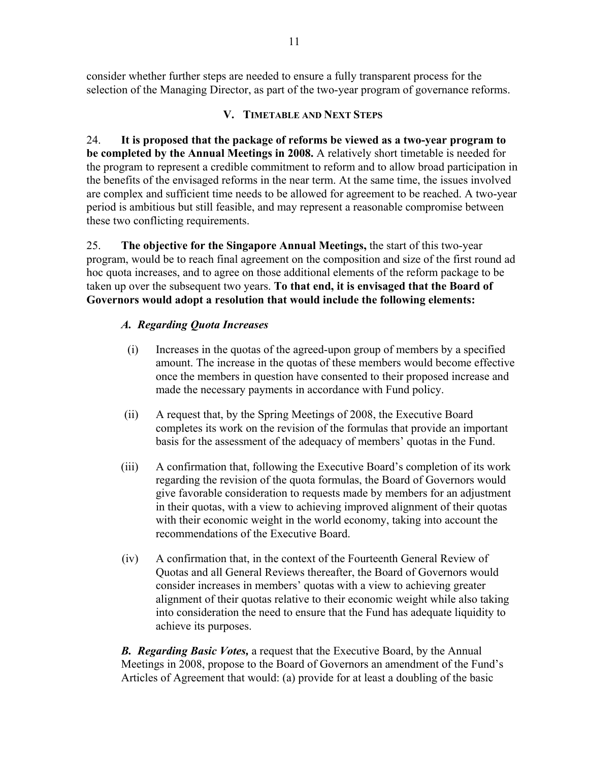consider whether further steps are needed to ensure a fully transparent process for the selection of the Managing Director, as part of the two-year program of governance reforms.

### **V. TIMETABLE AND NEXT STEPS**

24. **It is proposed that the package of reforms be viewed as a two-year program to be completed by the Annual Meetings in 2008.** A relatively short timetable is needed for the program to represent a credible commitment to reform and to allow broad participation in the benefits of the envisaged reforms in the near term. At the same time, the issues involved are complex and sufficient time needs to be allowed for agreement to be reached. A two-year period is ambitious but still feasible, and may represent a reasonable compromise between these two conflicting requirements.

25. **The objective for the Singapore Annual Meetings,** the start of this two-year program, would be to reach final agreement on the composition and size of the first round ad hoc quota increases, and to agree on those additional elements of the reform package to be taken up over the subsequent two years. **To that end, it is envisaged that the Board of Governors would adopt a resolution that would include the following elements:** 

## *A. Regarding Quota Increases*

- (i) Increases in the quotas of the agreed-upon group of members by a specified amount. The increase in the quotas of these members would become effective once the members in question have consented to their proposed increase and made the necessary payments in accordance with Fund policy.
- (ii) A request that, by the Spring Meetings of 2008, the Executive Board completes its work on the revision of the formulas that provide an important basis for the assessment of the adequacy of members' quotas in the Fund.
- (iii) A confirmation that, following the Executive Board's completion of its work regarding the revision of the quota formulas, the Board of Governors would give favorable consideration to requests made by members for an adjustment in their quotas, with a view to achieving improved alignment of their quotas with their economic weight in the world economy, taking into account the recommendations of the Executive Board.
- (iv) A confirmation that, in the context of the Fourteenth General Review of Quotas and all General Reviews thereafter, the Board of Governors would consider increases in members' quotas with a view to achieving greater alignment of their quotas relative to their economic weight while also taking into consideration the need to ensure that the Fund has adequate liquidity to achieve its purposes.

*B. Regarding Basic Votes,* a request that the Executive Board, by the Annual Meetings in 2008, propose to the Board of Governors an amendment of the Fund's Articles of Agreement that would: (a) provide for at least a doubling of the basic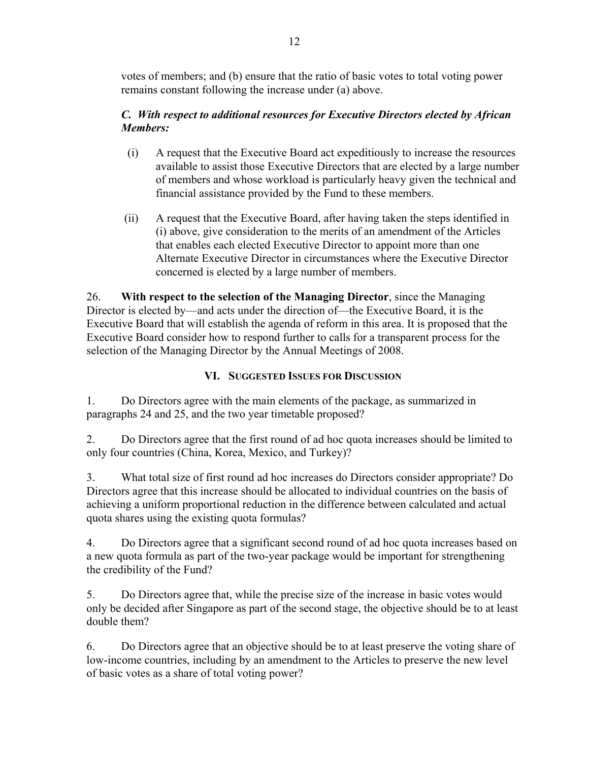votes of members; and (b) ensure that the ratio of basic votes to total voting power remains constant following the increase under (a) above.

## *C. With respect to additional resources for Executive Directors elected by African Members:*

- (i) A request that the Executive Board act expeditiously to increase the resources available to assist those Executive Directors that are elected by a large number of members and whose workload is particularly heavy given the technical and financial assistance provided by the Fund to these members.
- (ii) A request that the Executive Board, after having taken the steps identified in (i) above, give consideration to the merits of an amendment of the Articles that enables each elected Executive Director to appoint more than one Alternate Executive Director in circumstances where the Executive Director concerned is elected by a large number of members.

26. **With respect to the selection of the Managing Director**, since the Managing Director is elected by––and acts under the direction of––the Executive Board, it is the Executive Board that will establish the agenda of reform in this area. It is proposed that the Executive Board consider how to respond further to calls for a transparent process for the selection of the Managing Director by the Annual Meetings of 2008.

# **VI. SUGGESTED ISSUES FOR DISCUSSION**

1. Do Directors agree with the main elements of the package, as summarized in paragraphs 24 and 25, and the two year timetable proposed?

2. Do Directors agree that the first round of ad hoc quota increases should be limited to only four countries (China, Korea, Mexico, and Turkey)?

3. What total size of first round ad hoc increases do Directors consider appropriate? Do Directors agree that this increase should be allocated to individual countries on the basis of achieving a uniform proportional reduction in the difference between calculated and actual quota shares using the existing quota formulas?

4. Do Directors agree that a significant second round of ad hoc quota increases based on a new quota formula as part of the two-year package would be important for strengthening the credibility of the Fund?

5. Do Directors agree that, while the precise size of the increase in basic votes would only be decided after Singapore as part of the second stage, the objective should be to at least double them?

6. Do Directors agree that an objective should be to at least preserve the voting share of low-income countries, including by an amendment to the Articles to preserve the new level of basic votes as a share of total voting power?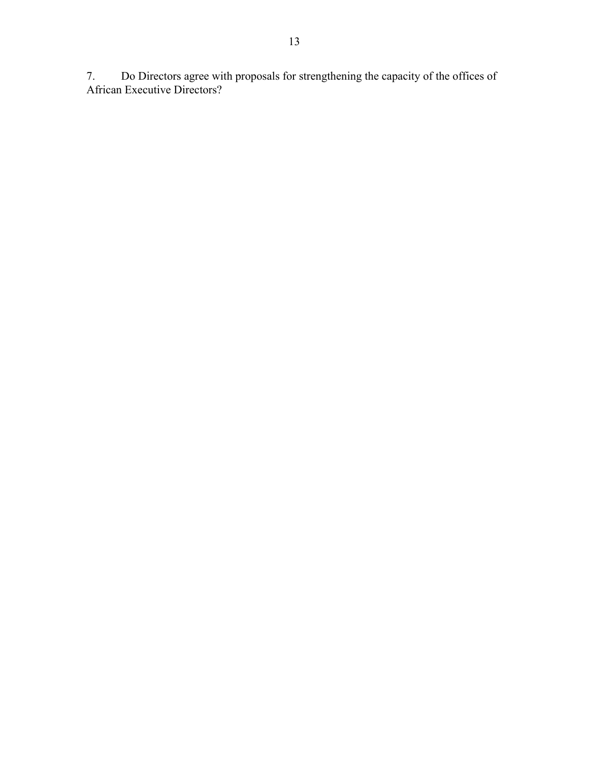7. Do Directors agree with proposals for strengthening the capacity of the offices of African Executive Directors?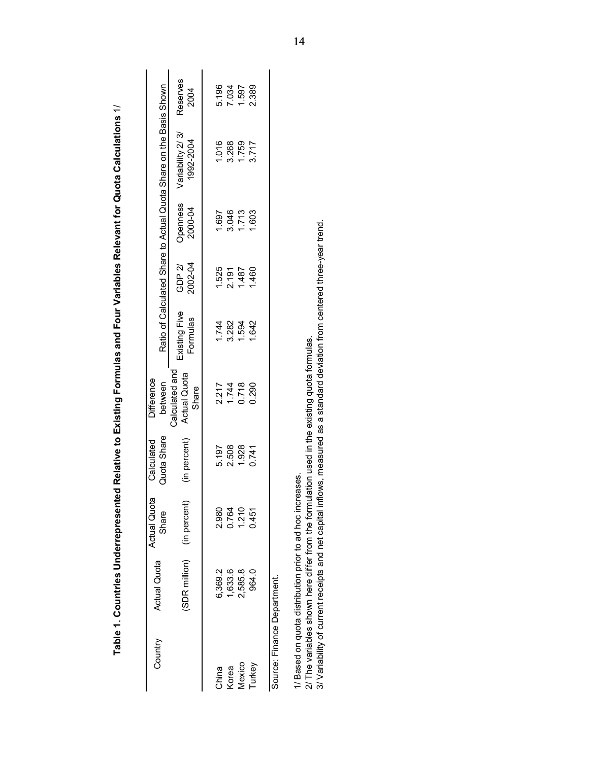| Calculated and                               |                           |                   |                     | Ratio of Calculated Share to Actual Quota Share on the Basis Shown |                  |
|----------------------------------------------|---------------------------|-------------------|---------------------|--------------------------------------------------------------------|------------------|
| <b>Actual Quota</b><br>Share<br>(in percent) | Existing Five<br>Formulas | 2002-04<br>GDP 2/ | Openness<br>2000-04 | Variability 2/3/<br>1992-2004                                      | Reserves<br>2004 |
| 5.197                                        | 1.744                     | 1.525             | 1.697               | 1.016                                                              | 5.196            |
| 1.744<br>2.508                               | 3.282                     | 2.191             | 3.046               | 3.268                                                              | 7.034            |
| 0.718<br>1.928                               | 1.594                     | 1.487             | 1.713               | 1.759                                                              | 1.597            |
| 0.290<br>0.741                               | 1.642                     | 1.460             | 1.603               | 3.717                                                              | 2.389            |
|                                              |                           |                   |                     |                                                                    |                  |
| 2.217                                        |                           |                   |                     |                                                                    |                  |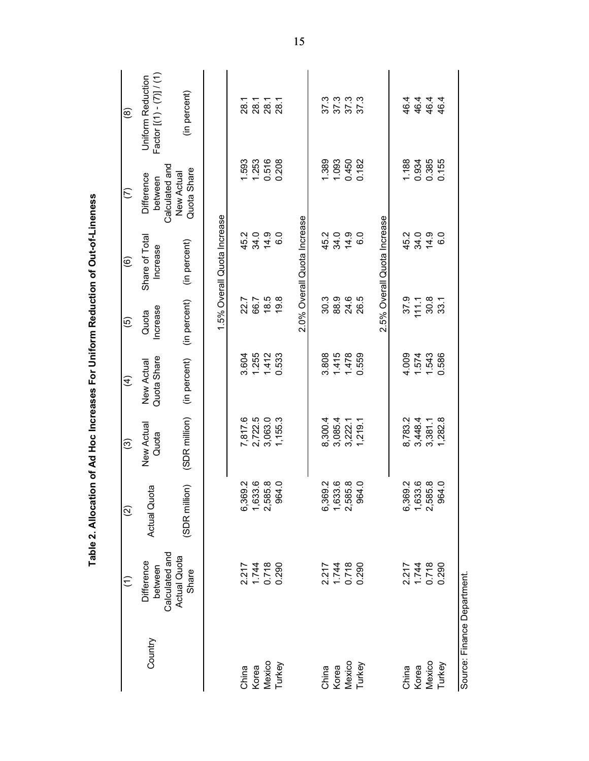|                             |                                         | Table 2. Allocation of Ad Hoc Increases For Uniform Reduction of Out-of-Lineness |                     |                           |                   |                             |                                         |                                                     |
|-----------------------------|-----------------------------------------|----------------------------------------------------------------------------------|---------------------|---------------------------|-------------------|-----------------------------|-----------------------------------------|-----------------------------------------------------|
|                             | $\widehat{\in}$                         | $\widehat{c}$                                                                    | ල                   | $\widehat{f}$             | <u>ම</u>          | ම                           | $\widehat{C}$                           | $\circledast$                                       |
| Country                     | Calculated and<br>Difference<br>between | Actual Quota                                                                     | New Actual<br>Quota | Quota Share<br>New Actual | Increase<br>Quota | Share of Total<br>Increase  | Calculated and<br>Difference<br>between | Factor $[(1)-(7)]/$ (1)<br><b>Uniform Reduction</b> |
|                             | Actual Quota<br>Share                   | $\widehat{\Xi}$<br>(SDR <sub>mill</sub>                                          | (SDR million)       | (in percent)              | (in percent)      | (in percent)                | Quota Share<br>New Actual               | (in percent)                                        |
|                             |                                         |                                                                                  |                     |                           |                   | 1.5% Overall Quota Increase |                                         |                                                     |
| China                       | 2.217                                   | 6,369.2                                                                          | 7,817.6             | 3.604                     | 22.7              | 45.2                        | 1.593                                   | 28.1                                                |
| Korea                       | 1.744<br>0.718                          | 1,633.6<br>2,585.8                                                               | 2,722.5             | 1.255                     | 66.7              | 34.0                        | 1.253                                   | 28.1                                                |
| Mexico<br>Turkey            | 0.290                                   | 964.0                                                                            | 3,063.0<br>1,155.3  | 1.412<br>0.533            | 18.5<br>19.8      | 14.9<br>6.0                 | 0.516<br>0.208                          | 28.1<br>28.1                                        |
|                             |                                         |                                                                                  |                     |                           |                   | 2.0% Overall Quota Increase |                                         |                                                     |
|                             |                                         |                                                                                  |                     |                           |                   |                             |                                         |                                                     |
| China                       | 2.217                                   | 6,369.2                                                                          | 8,300.4             | 3.808                     | 30.3              | 45.2                        | 1.389                                   | 37.3                                                |
| Korea                       | 1.744                                   |                                                                                  | 3,085.4             | 1.415                     | 88.9              | 34.0                        | 1.093                                   |                                                     |
| Mexico                      | 0.718                                   | 1,633.6<br>2,585.8                                                               | 3,222.1             | 1.478                     | 24.6              | 14.9                        | 0.450                                   | $373$<br>$373$<br>$373$                             |
| Turkey                      | 0.290                                   | 964.0                                                                            | 1,219.1             | 0.559                     | 26.5              | 6.0                         | 0.182                                   |                                                     |
|                             |                                         |                                                                                  |                     |                           |                   | 2.5% Overall Quota Increase |                                         |                                                     |
| China                       | 2.217                                   | 6,369.2                                                                          | 8,783.2             | 4.009                     | 37.9              |                             | 1.188                                   | 46.4                                                |
| Korea                       |                                         |                                                                                  | 3,448.4             | 1.574                     | 111.1             | 45.0<br>34.0                | 0.934                                   | 46.4                                                |
| Mexico                      | 1.744<br>0.718                          | 1,633.6<br>2,585.8                                                               | 3,381.1             | 1.543                     | 30.8              | 14.9                        | 0.385                                   | 46.4                                                |
| Turkey                      | 0.290                                   | 964.0                                                                            | 1,282.8             | 0.586                     | 33.1              | $\frac{0}{6}$               | 0.155                                   | 46.4                                                |
| Source: Finance Department. |                                         |                                                                                  |                     |                           |                   |                             |                                         |                                                     |

15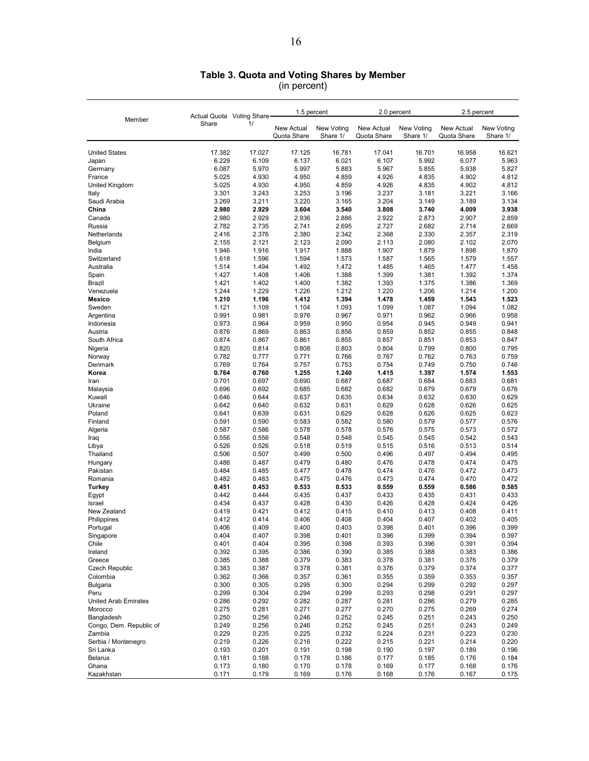#### **Table 3. Quota and Voting Shares by Member**

(in percent)

| Member                                | Actual Quota Voting Share |                | 1.5 percent               |                        | 2.0 percent               |                        | 2.5 percent               |                        |
|---------------------------------------|---------------------------|----------------|---------------------------|------------------------|---------------------------|------------------------|---------------------------|------------------------|
|                                       | Share                     | 1/             | New Actual<br>Quota Share | New Voting<br>Share 1/ | New Actual<br>Quota Share | New Voting<br>Share 1/ | New Actual<br>Quota Share | New Voting<br>Share 1/ |
| <b>United States</b>                  | 17.382                    | 17.027         | 17.125                    | 16.781                 | 17.041                    | 16.701                 | 16.958                    | 16.621                 |
| Japan                                 | 6.229                     | 6.109          | 6.137                     | 6.021                  | 6.107                     | 5.992                  | 6.077                     | 5.963                  |
| Germany                               | 6.087                     | 5.970          | 5.997                     | 5.883                  | 5.967                     | 5.855                  | 5.938                     | 5.827                  |
| France                                | 5.025                     | 4.930          | 4.950                     | 4.859                  | 4.926                     | 4.835                  | 4.902                     | 4.812                  |
| United Kingdom<br>Italy               | 5.025<br>3.301            | 4.930<br>3.243 | 4.950<br>3.253            | 4.859<br>3.196         | 4.926<br>3.237            | 4.835<br>3.181         | 4.902<br>3.221            | 4.812<br>3.166         |
| Saudi Arabia                          | 3.269                     | 3.211          | 3.220                     | 3.165                  | 3.204                     | 3.149                  | 3.189                     | 3.134                  |
| China                                 | 2.980                     | 2.929          | 3.604                     | 3.540                  | 3.808                     | 3.740                  | 4.009                     | 3.938                  |
| Canada                                | 2.980                     | 2.929          | 2.936                     | 2.886                  | 2.922                     | 2.873                  | 2.907                     | 2.859                  |
| Russia                                | 2.782                     | 2.735          | 2.741                     | 2.695                  | 2.727                     | 2.682                  | 2.714                     | 2.669                  |
| Netherlands                           | 2.416                     | 2.376          | 2.380                     | 2.342                  | 2.368                     | 2.330                  | 2.357                     | 2.319                  |
| Belgium<br>India                      | 2.155<br>1.946            | 2.121<br>1.916 | 2.123<br>1.917            | 2.090<br>1.888         | 2.113<br>1.907            | 2.080<br>1.879         | 2.102<br>1.898            | 2.070<br>1.870         |
| Switzerland                           | 1.618                     | 1.596          | 1.594                     | 1.573                  | 1.587                     | 1.565                  | 1.579                     | 1.557                  |
| Australia                             | 1.514                     | 1.494          | 1.492                     | 1.472                  | 1.485                     | 1.465                  | 1.477                     | 1.458                  |
| Spain                                 | 1.427                     | 1.408          | 1.406                     | 1.388                  | 1.399                     | 1.381                  | 1.392                     | 1.374                  |
| Brazil                                | 1.421                     | 1.402          | 1.400                     | 1.382                  | 1.393                     | 1.375                  | 1.386                     | 1.369                  |
| Venezuela                             | 1.244                     | 1.229          | 1.226                     | 1.212                  | 1.220                     | 1.206                  | 1.214                     | 1.200                  |
| Mexico<br>Sweden                      | 1.210<br>1.121            | 1.196<br>1.109 | 1.412<br>1.104            | 1.394<br>1.093         | 1.478<br>1.099            | 1.459<br>1.087         | 1.543<br>1.094            | 1.523<br>1.082         |
| Argentina                             | 0.991                     | 0.981          | 0.976                     | 0.967                  | 0.971                     | 0.962                  | 0.966                     | 0.958                  |
| Indonesia                             | 0.973                     | 0.964          | 0.959                     | 0.950                  | 0.954                     | 0.945                  | 0.949                     | 0.941                  |
| Austria                               | 0.876                     | 0.869          | 0.863                     | 0.856                  | 0.859                     | 0.852                  | 0.855                     | 0.848                  |
| South Africa                          | 0.874                     | 0.867          | 0.861                     | 0.855                  | 0.857                     | 0.851                  | 0.853                     | 0.847                  |
| Nigeria                               | 0.820                     | 0.814          | 0.808                     | 0.803                  | 0.804                     | 0.799                  | 0.800                     | 0.795                  |
| Norway                                | 0.782                     | 0.777          | 0.771                     | 0.766                  | 0.767                     | 0.762                  | 0.763                     | 0.759                  |
| Denmark<br>Korea                      | 0.769<br>0.764            | 0.764          | 0.757<br>1.255            | 0.753<br>1.240         | 0.754<br>1.415            | 0.749                  | 0.750<br>1.574            | 0.746<br>1.553         |
| Iran                                  | 0.701                     | 0.760<br>0.697 | 0.690                     | 0.687                  | 0.687                     | 1.397<br>0.684         | 0.683                     | 0.681                  |
| Malaysia                              | 0.696                     | 0.692          | 0.685                     | 0.682                  | 0.682                     | 0.679                  | 0.679                     | 0.676                  |
| Kuwait                                | 0.646                     | 0.644          | 0.637                     | 0.635                  | 0.634                     | 0.632                  | 0.630                     | 0.629                  |
| Ukraine                               | 0.642                     | 0.640          | 0.632                     | 0.631                  | 0.629                     | 0.628                  | 0.626                     | 0.625                  |
| Poland                                | 0.641                     | 0.639          | 0.631                     | 0.629                  | 0.628                     | 0.626                  | 0.625                     | 0.623                  |
| Finland                               | 0.591                     | 0.590          | 0.583                     | 0.582                  | 0.580                     | 0.579                  | 0.577                     | 0.576                  |
| Algeria<br>Iraq                       | 0.587<br>0.556            | 0.586<br>0.556 | 0.578<br>0.548            | 0.578<br>0.548         | 0.576<br>0.545            | 0.575<br>0.545         | 0.573<br>0.542            | 0.572<br>0.543         |
| Libya                                 | 0.526                     | 0.526          | 0.518                     | 0.519                  | 0.515                     | 0.516                  | 0.513                     | 0.514                  |
| Thailand                              | 0.506                     | 0.507          | 0.499                     | 0.500                  | 0.496                     | 0.497                  | 0.494                     | 0.495                  |
| Hungary                               | 0.486                     | 0.487          | 0.479                     | 0.480                  | 0.476                     | 0.478                  | 0.474                     | 0.475                  |
| Pakistan                              | 0.484                     | 0.485          | 0.477                     | 0.478                  | 0.474                     | 0.476                  | 0.472                     | 0.473                  |
| Romania                               | 0.482                     | 0.483          | 0.475                     | 0.476                  | 0.473                     | 0.474                  | 0.470                     | 0.472                  |
| Turkey                                | 0.451<br>0.442            | 0.453<br>0.444 | 0.533<br>0.435            | 0.533<br>0.437         | 0.559<br>0.433            | 0.559<br>0.435         | 0.586<br>0.431            | 0.585<br>0.433         |
| Egypt<br>Israel                       | 0.434                     | 0.437          | 0.428                     | 0.430                  | 0.426                     | 0.428                  | 0.424                     | 0.426                  |
| New Zealand                           | 0.419                     | 0.421          | 0.412                     | 0.415                  | 0.410                     | 0.413                  | 0.408                     | 0.411                  |
| Philippines                           | 0.412                     | 0.414          | 0.406                     | 0.408                  | 0.404                     | 0.407                  | 0.402                     | 0.405                  |
| Portugal                              | 0.406                     | 0.409          | 0.400                     | 0.403                  | 0.398                     | 0.401                  | 0.396                     | 0.399                  |
| Singapore                             | 0.404                     | 0.407          | 0.398                     | 0.401                  | 0.396                     | 0.399                  | 0.394                     | 0.397                  |
| Chile<br>Ireland                      | 0.401<br>0.392            | 0.404          | 0.395                     | 0.398                  | 0.393                     | 0.396                  | 0.391                     | 0.394                  |
| Greece                                | 0.385                     | 0.395<br>0.388 | 0.386<br>0.379            | 0.390<br>0.383         | 0.385<br>0.378            | 0.388<br>0.381         | 0.383<br>0.376            | 0.386<br>0.379         |
| Czech Republic                        | 0.383                     | 0.387          | 0.378                     | 0.381                  | 0.376                     | 0.379                  | 0.374                     | 0.377                  |
| Colombia                              | 0.362                     | 0.366          | 0.357                     | 0.361                  | 0.355                     | 0.359                  | 0.353                     | 0.357                  |
| <b>Bulgaria</b>                       | 0.300                     | 0.305          | 0.295                     | 0.300                  | 0.294                     | 0.299                  | 0.292                     | 0.297                  |
| Peru                                  | 0.299                     | 0.304          | 0.294                     | 0.299                  | 0.293                     | 0.298                  | 0.291                     | 0.297                  |
| <b>United Arab Emirates</b>           | 0.286                     | 0.292          | 0.282                     | 0.287                  | 0.281                     | 0.286                  | 0.279                     | 0.285                  |
| Morocco                               | 0.275                     | 0.281          | 0.271                     | 0.277                  | 0.270                     | 0.275                  | 0.269                     | 0.274<br>0.250         |
| Bangladesh<br>Congo, Dem. Republic of | 0.250<br>0.249            | 0.256<br>0.256 | 0.246<br>0.246            | 0.252<br>0.252         | 0.245<br>0.245            | 0.251<br>0.251         | 0.243<br>0.243            | 0.249                  |
| Zambia                                | 0.229                     | 0.235          | 0.225                     | 0.232                  | 0.224                     | 0.231                  | 0.223                     | 0.230                  |
| Serbia / Montenegro                   | 0.219                     | 0.226          | 0.216                     | 0.222                  | 0.215                     | 0.221                  | 0.214                     | 0.220                  |
| Sri Lanka                             | 0.193                     | 0.201          | 0.191                     | 0.198                  | 0.190                     | 0.197                  | 0.189                     | 0.196                  |
| <b>Belarus</b>                        | 0.181                     | 0.188          | 0.178                     | 0.186                  | 0.177                     | 0.185                  | 0.176                     | 0.184                  |
| Ghana                                 | 0.173                     | 0.180          | 0.170                     | 0.178                  | 0.169                     | 0.177                  | 0.168                     | 0.176                  |
| Kazakhstan                            | 0.171                     | 0.179          | 0.169                     | 0.176                  | 0.168                     | 0.176                  | 0.167                     | 0.175                  |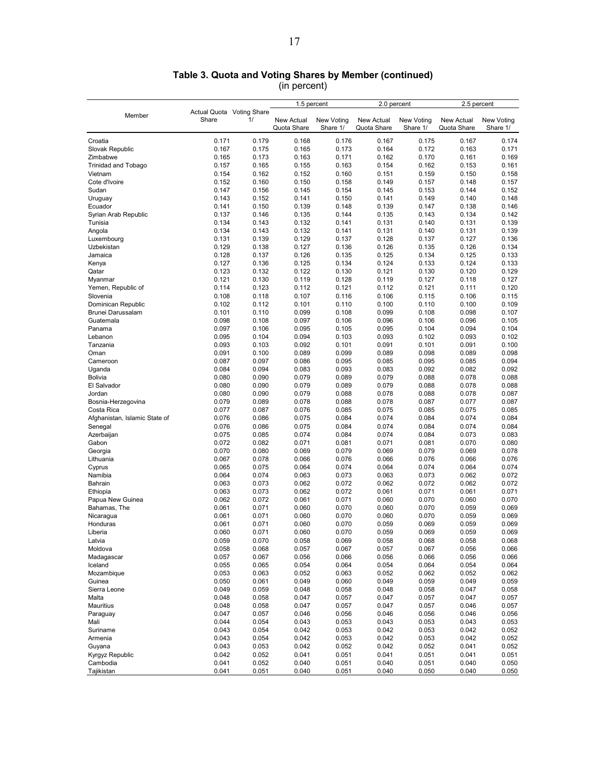|                               |                           |       | 1.5 percent |            | 2.0 percent |            | 2.5 percent       |            |
|-------------------------------|---------------------------|-------|-------------|------------|-------------|------------|-------------------|------------|
| Member                        | Actual Quota Voting Share |       |             |            |             |            |                   |            |
|                               | Share                     | 1/    | New Actual  | New Voting | New Actual  | New Voting | <b>New Actual</b> | New Voting |
|                               |                           |       | Quota Share | Share 1/   | Quota Share | Share 1/   | Quota Share       | Share 1/   |
| Croatia                       | 0.171                     | 0.179 | 0.168       | 0.176      | 0.167       | 0.175      | 0.167             | 0.174      |
| Slovak Republic               | 0.167                     | 0.175 | 0.165       | 0.173      | 0.164       | 0.172      | 0.163             | 0.171      |
| Zimbabwe                      | 0.165                     | 0.173 | 0.163       | 0.171      | 0.162       | 0.170      | 0.161             | 0.169      |
|                               |                           |       |             |            |             |            |                   |            |
| <b>Trinidad and Tobago</b>    | 0.157                     | 0.165 | 0.155       | 0.163      | 0.154       | 0.162      | 0.153             | 0.161      |
| Vietnam                       | 0.154                     | 0.162 | 0.152       | 0.160      | 0.151       | 0.159      | 0.150             | 0.158      |
| Cote d'Ivoire                 | 0.152                     | 0.160 | 0.150       | 0.158      | 0.149       | 0.157      | 0.148             | 0.157      |
| Sudan                         | 0.147                     | 0.156 | 0.145       | 0.154      | 0.145       | 0.153      | 0.144             | 0.152      |
| Uruguay                       | 0.143                     | 0.152 | 0.141       | 0.150      | 0.141       | 0.149      | 0.140             | 0.148      |
| Ecuador                       | 0.141                     | 0.150 | 0.139       | 0.148      | 0.139       | 0.147      | 0.138             | 0.146      |
| Syrian Arab Republic          | 0.137                     | 0.146 | 0.135       | 0.144      | 0.135       | 0.143      | 0.134             | 0.142      |
| Tunisia                       | 0.134                     | 0.143 | 0.132       | 0.141      | 0.131       | 0.140      | 0.131             | 0.139      |
| Angola                        | 0.134                     | 0.143 | 0.132       | 0.141      | 0.131       | 0.140      | 0.131             | 0.139      |
| Luxembourg                    | 0.131                     | 0.139 | 0.129       | 0.137      | 0.128       | 0.137      | 0.127             | 0.136      |
| Uzbekistan                    | 0.129                     | 0.138 | 0.127       | 0.136      | 0.126       | 0.135      | 0.126             | 0.134      |
| Jamaica                       | 0.128                     | 0.137 | 0.126       | 0.135      | 0.125       | 0.134      | 0.125             | 0.133      |
| Kenya                         | 0.127                     | 0.136 | 0.125       | 0.134      | 0.124       | 0.133      | 0.124             | 0.133      |
| Qatar                         | 0.123                     | 0.132 | 0.122       | 0.130      | 0.121       | 0.130      | 0.120             | 0.129      |
| Myanmar                       | 0.121                     | 0.130 | 0.119       | 0.128      | 0.119       | 0.127      | 0.118             | 0.127      |
| Yemen, Republic of            | 0.114                     | 0.123 | 0.112       | 0.121      | 0.112       | 0.121      | 0.111             | 0.120      |
|                               |                           |       |             |            |             |            |                   |            |
| Slovenia                      | 0.108                     | 0.118 | 0.107       | 0.116      | 0.106       | 0.115      | 0.106             | 0.115      |
| Dominican Republic            | 0.102                     | 0.112 | 0.101       | 0.110      | 0.100       | 0.110      | 0.100             | 0.109      |
| Brunei Darussalam             | 0.101                     | 0.110 | 0.099       | 0.108      | 0.099       | 0.108      | 0.098             | 0.107      |
| Guatemala                     | 0.098                     | 0.108 | 0.097       | 0.106      | 0.096       | 0.106      | 0.096             | 0.105      |
| Panama                        | 0.097                     | 0.106 | 0.095       | 0.105      | 0.095       | 0.104      | 0.094             | 0.104      |
| Lebanon                       | 0.095                     | 0.104 | 0.094       | 0.103      | 0.093       | 0.102      | 0.093             | 0.102      |
| Tanzania                      | 0.093                     | 0.103 | 0.092       | 0.101      | 0.091       | 0.101      | 0.091             | 0.100      |
| Oman                          | 0.091                     | 0.100 | 0.089       | 0.099      | 0.089       | 0.098      | 0.089             | 0.098      |
| Cameroon                      | 0.087                     | 0.097 | 0.086       | 0.095      | 0.085       | 0.095      | 0.085             | 0.094      |
| Uganda                        | 0.084                     | 0.094 | 0.083       | 0.093      | 0.083       | 0.092      | 0.082             | 0.092      |
| Bolivia                       | 0.080                     | 0.090 | 0.079       | 0.089      | 0.079       | 0.088      | 0.078             | 0.088      |
| El Salvador                   | 0.080                     | 0.090 | 0.079       | 0.089      | 0.079       | 0.088      | 0.078             | 0.088      |
| Jordan                        | 0.080                     | 0.090 | 0.079       | 0.088      | 0.078       | 0.088      | 0.078             | 0.087      |
| Bosnia-Herzegovina            | 0.079                     | 0.089 | 0.078       | 0.088      | 0.078       | 0.087      | 0.077             | 0.087      |
| Costa Rica                    | 0.077                     | 0.087 | 0.076       | 0.085      | 0.075       | 0.085      | 0.075             | 0.085      |
| Afghanistan, Islamic State of | 0.076                     | 0.086 | 0.075       | 0.084      | 0.074       | 0.084      | 0.074             | 0.084      |
|                               | 0.076                     | 0.086 | 0.075       | 0.084      | 0.074       | 0.084      | 0.074             | 0.084      |
| Senegal                       | 0.075                     |       |             |            |             |            | 0.073             | 0.083      |
| Azerbaijan                    |                           | 0.085 | 0.074       | 0.084      | 0.074       | 0.084      |                   |            |
| Gabon                         | 0.072                     | 0.082 | 0.071       | 0.081      | 0.071       | 0.081      | 0.070             | 0.080      |
| Georgia                       | 0.070                     | 0.080 | 0.069       | 0.079      | 0.069       | 0.079      | 0.069             | 0.078      |
| Lithuania                     | 0.067                     | 0.078 | 0.066       | 0.076      | 0.066       | 0.076      | 0.066             | 0.076      |
| Cyprus                        | 0.065                     | 0.075 | 0.064       | 0.074      | 0.064       | 0.074      | 0.064             | 0.074      |
| Namibia                       | 0.064                     | 0.074 | 0.063       | 0.073      | 0.063       | 0.073      | 0.062             | 0.072      |
| Bahrain                       | 0.063                     | 0.073 | 0.062       | 0.072      | 0.062       | 0.072      | 0.062             | 0.072      |
| Ethiopia                      | 0.063                     | 0.073 | 0.062       | 0.072      | 0.061       | 0.071      | 0.061             | 0.071      |
| Papua New Guinea              | 0.062                     | 0.072 | 0.061       | 0.071      | 0.060       | 0.070      | 0.060             | 0.070      |
| Bahamas, The                  | 0.061                     | 0.071 | 0.060       | 0.070      | 0.060       | 0.070      | 0.059             | 0.069      |
| Nicaragua                     | 0.061                     | 0.071 | 0.060       | 0.070      | 0.060       | 0.070      | 0.059             | 0.069      |
| Honduras                      | 0.061                     | 0.071 | 0.060       | 0.070      | 0.059       | 0.069      | 0.059             | 0.069      |
| Liberia                       | 0.060                     | 0.071 | 0.060       | 0.070      | 0.059       | 0.069      | 0.059             | 0.069      |
| Latvia                        | 0.059                     | 0.070 | 0.058       | 0.069      | 0.058       | 0.068      | 0.058             | 0.068      |
| Moldova                       | 0.058                     | 0.068 | 0.057       | 0.067      | 0.057       | 0.067      | 0.056             | 0.066      |
| Madagascar                    | 0.057                     | 0.067 | 0.056       | 0.066      | 0.056       | 0.066      | 0.056             | 0.066      |
| Iceland                       | 0.055                     | 0.065 | 0.054       | 0.064      | 0.054       | 0.064      | 0.054             | 0.064      |
|                               | 0.053                     |       |             |            |             |            |                   |            |
| Mozambique                    |                           | 0.063 | 0.052       | 0.063      | 0.052       | 0.062      | 0.052             | 0.062      |
| Guinea                        | 0.050                     | 0.061 | 0.049       | 0.060      | 0.049       | 0.059      | 0.049             | 0.059      |
| Sierra Leone                  | 0.049                     | 0.059 | 0.048       | 0.058      | 0.048       | 0.058      | 0.047             | 0.058      |
| Malta                         | 0.048                     | 0.058 | 0.047       | 0.057      | 0.047       | 0.057      | 0.047             | 0.057      |
| Mauritius                     | 0.048                     | 0.058 | 0.047       | 0.057      | 0.047       | 0.057      | 0.046             | 0.057      |
| Paraguay                      | 0.047                     | 0.057 | 0.046       | 0.056      | 0.046       | 0.056      | 0.046             | 0.056      |
| Mali                          | 0.044                     | 0.054 | 0.043       | 0.053      | 0.043       | 0.053      | 0.043             | 0.053      |
| Suriname                      | 0.043                     | 0.054 | 0.042       | 0.053      | 0.042       | 0.053      | 0.042             | 0.052      |
| Armenia                       | 0.043                     | 0.054 | 0.042       | 0.053      | 0.042       | 0.053      | 0.042             | 0.052      |
| Guyana                        | 0.043                     | 0.053 | 0.042       | 0.052      | 0.042       | 0.052      | 0.041             | 0.052      |
| Kyrgyz Republic               | 0.042                     | 0.052 | 0.041       | 0.051      | 0.041       | 0.051      | 0.041             | 0.051      |
| Cambodia                      | 0.041                     | 0.052 | 0.040       | 0.051      | 0.040       | 0.051      | 0.040             | 0.050      |
| Tajikistan                    | 0.041                     | 0.051 | 0.040       | 0.051      | 0.040       | 0.050      | 0.040             | 0.050      |

#### **Table 3. Quota and Voting Shares by Member (continued)**  (in percent)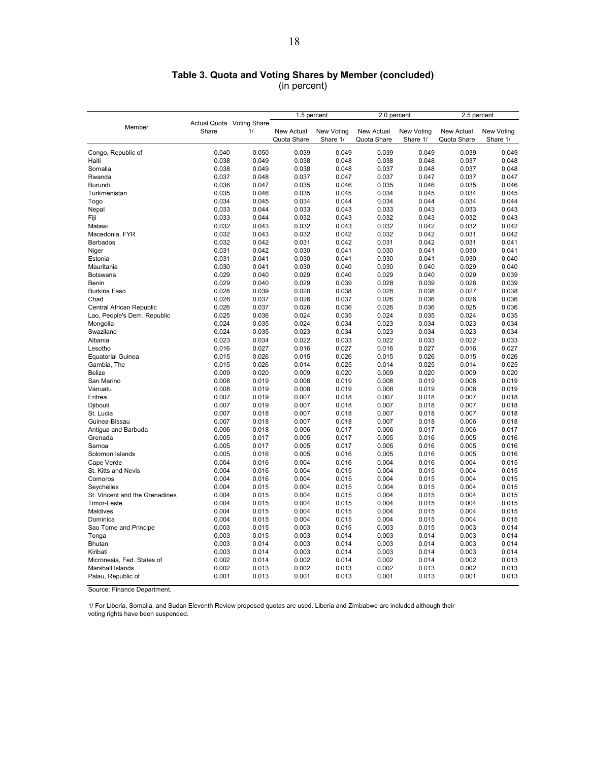### **Table 3. Quota and Voting Shares by Member (concluded)**

(in percent)

|                                |                           |       | 1.5 percent |                   | 2.0 percent |            | 2.5 percent |            |
|--------------------------------|---------------------------|-------|-------------|-------------------|-------------|------------|-------------|------------|
|                                | Actual Quota Voting Share |       |             |                   |             |            |             |            |
| Member                         | Share                     | 1/    | New Actual  | <b>New Voting</b> | New Actual  | New Voting | New Actual  | New Voting |
|                                |                           |       | Quota Share | Share 1/          | Quota Share | Share 1/   | Quota Share | Share 1/   |
| Congo, Republic of             | 0.040                     | 0.050 | 0.039       | 0.049             | 0.039       | 0.049      | 0.039       | 0.049      |
| Haiti                          | 0.038                     | 0.049 | 0.038       | 0.048             | 0.038       | 0.048      | 0.037       | 0.048      |
| Somalia                        | 0.038                     | 0.049 | 0.038       | 0.048             | 0.037       | 0.048      | 0.037       | 0.048      |
| Rwanda                         | 0.037                     | 0.048 | 0.037       | 0.047             | 0.037       | 0.047      | 0.037       | 0.047      |
| Burundi                        | 0.036                     | 0.047 | 0.035       | 0.046             | 0.035       | 0.046      | 0.035       | 0.046      |
| Turkmenistan                   | 0.035                     | 0.046 | 0.035       | 0.045             | 0.034       | 0.045      | 0.034       | 0.045      |
| Togo                           | 0.034                     | 0.045 | 0.034       | 0.044             | 0.034       | 0.044      | 0.034       | 0.044      |
| Nepal                          | 0.033                     | 0.044 | 0.033       | 0.043             | 0.033       | 0.043      | 0.033       | 0.043      |
| Fiji                           | 0.033                     | 0.044 | 0.032       | 0.043             | 0.032       | 0.043      | 0.032       | 0.043      |
| Malawi                         | 0.032                     | 0.043 | 0.032       | 0.043             | 0.032       | 0.042      | 0.032       | 0.042      |
| Macedonia, FYR                 | 0.032                     | 0.043 | 0.032       | 0.042             | 0.032       | 0.042      | 0.031       | 0.042      |
| Barbados                       | 0.032                     | 0.042 | 0.031       | 0.042             | 0.031       | 0.042      | 0.031       | 0.041      |
| Niger                          | 0.031                     | 0.042 | 0.030       | 0.041             | 0.030       | 0.041      | 0.030       | 0.041      |
| Estonia                        | 0.031                     | 0.041 | 0.030       | 0.041             | 0.030       | 0.041      | 0.030       | 0.040      |
| Mauritania                     | 0.030                     | 0.041 | 0.030       | 0.040             | 0.030       | 0.040      | 0.029       | 0.040      |
| Botswana                       | 0.029                     | 0.040 | 0.029       | 0.040             | 0.029       | 0.040      | 0.029       | 0.039      |
| Benin                          | 0.029                     | 0.040 | 0.029       | 0.039             | 0.028       | 0.039      | 0.028       | 0.039      |
| <b>Burkina Faso</b>            | 0.028                     | 0.039 | 0.028       | 0.038             | 0.028       | 0.038      | 0.027       | 0.038      |
| Chad                           | 0.026                     | 0.037 | 0.026       | 0.037             | 0.026       | 0.036      | 0.026       | 0.036      |
| Central African Republic       | 0.026                     | 0.037 | 0.026       | 0.036             | 0.026       | 0.036      | 0.025       | 0.036      |
| Lao, People's Dem. Republic    | 0.025                     | 0.036 | 0.024       | 0.035             | 0.024       | 0.035      | 0.024       | 0.035      |
| Mongolia                       | 0.024                     | 0.035 | 0.024       | 0.034             | 0.023       | 0.034      | 0.023       | 0.034      |
| Swaziland                      | 0.024                     | 0.035 | 0.023       | 0.034             | 0.023       | 0.034      | 0.023       | 0.034      |
| Albania                        | 0.023                     | 0.034 | 0.022       | 0.033             | 0.022       | 0.033      | 0.022       | 0.033      |
| Lesotho                        | 0.016                     | 0.027 | 0.016       | 0.027             | 0.016       | 0.027      | 0.016       | 0.027      |
| <b>Equatorial Guinea</b>       | 0.015                     | 0.026 | 0.015       | 0.026             | 0.015       | 0.026      | 0.015       | 0.026      |
| Gambia, The                    | 0.015                     | 0.026 | 0.014       | 0.025             | 0.014       | 0.025      | 0.014       | 0.025      |
| <b>Belize</b>                  | 0.009                     | 0.020 | 0.009       | 0.020             | 0.009       | 0.020      | 0.009       | 0.020      |
| San Marino                     | 0.008                     | 0.019 | 0.008       | 0.019             | 0.008       | 0.019      | 0.008       | 0.019      |
| Vanuatu                        | 0.008                     | 0.019 | 0.008       | 0.019             | 0.008       | 0.019      | 0.008       | 0.019      |
| Eritrea                        | 0.007                     | 0.019 | 0.007       | 0.018             | 0.007       | 0.018      | 0.007       | 0.018      |
| Djibouti                       | 0.007                     | 0.019 | 0.007       | 0.018             | 0.007       | 0.018      | 0.007       | 0.018      |
| St. Lucia                      | 0.007                     | 0.018 | 0.007       | 0.018             | 0.007       | 0.018      | 0.007       | 0.018      |
| Guinea-Bissau                  | 0.007                     | 0.018 | 0.007       | 0.018             | 0.007       | 0.018      | 0.006       | 0.018      |
| Antigua and Barbuda            | 0.006                     | 0.018 | 0.006       | 0.017             | 0.006       | 0.017      | 0.006       | 0.017      |
| Grenada                        | 0.005                     | 0.017 | 0.005       | 0.017             | 0.005       | 0.016      | 0.005       | 0.016      |
| Samoa                          | 0.005                     | 0.017 | 0.005       | 0.017             | 0.005       | 0.016      | 0.005       | 0.016      |
| Solomon Islands                | 0.005                     | 0.016 | 0.005       | 0.016             | 0.005       | 0.016      | 0.005       | 0.016      |
| Cape Verde                     | 0.004                     | 0.016 | 0.004       | 0.016             | 0.004       | 0.016      | 0.004       | 0.015      |
| St. Kitts and Nevis            | 0.004                     | 0.016 | 0.004       | 0.015             | 0.004       | 0.015      | 0.004       | 0.015      |
| Comoros                        | 0.004                     | 0.016 | 0.004       | 0.015             | 0.004       | 0.015      | 0.004       | 0.015      |
| Seychelles                     | 0.004                     | 0.015 | 0.004       | 0.015             | 0.004       | 0.015      | 0.004       | 0.015      |
| St. Vincent and the Grenadines | 0.004                     | 0.015 | 0.004       | 0.015             | 0.004       | 0.015      | 0.004       | 0.015      |
| <b>Timor-Leste</b>             | 0.004                     | 0.015 | 0.004       | 0.015             | 0.004       | 0.015      | 0.004       | 0.015      |
| Maldives                       | 0.004                     | 0.015 | 0.004       | 0.015             | 0.004       | 0.015      | 0.004       | 0.015      |
| Dominica                       | 0.004                     | 0.015 | 0.004       | 0.015             | 0.004       | 0.015      | 0.004       | 0.015      |
| Sao Tome and Principe          | 0.003                     | 0.015 | 0.003       | 0.015             | 0.003       | 0.015      | 0.003       | 0.014      |
| Tonga                          | 0.003                     | 0.015 | 0.003       | 0.014             | 0.003       | 0.014      | 0.003       | 0.014      |
| Bhutan                         | 0.003                     | 0.014 | 0.003       | 0.014             | 0.003       | 0.014      | 0.003       | 0.014      |
| Kiribati                       | 0.003                     | 0.014 | 0.003       | 0.014             | 0.003       | 0.014      | 0.003       | 0.014      |
| Micronesia, Fed. States of     | 0.002                     | 0.014 | 0.002       | 0.014             | 0.002       | 0.014      | 0.002       | 0.013      |
| Marshall Islands               | 0.002                     | 0.013 | 0.002       | 0.013             | 0.002       | 0.013      | 0.002       | 0.013      |
| Palau, Republic of             | 0.001                     | 0.013 | 0.001       | 0.013             | 0.001       | 0.013      | 0.001       | 0.013      |

Source: Finance Department.

1/ For Liberia, Somalia, and Sudan Eleventh Review proposed quotas are used. Liberia and Zimbabwe are included although their voting rights have been suspended.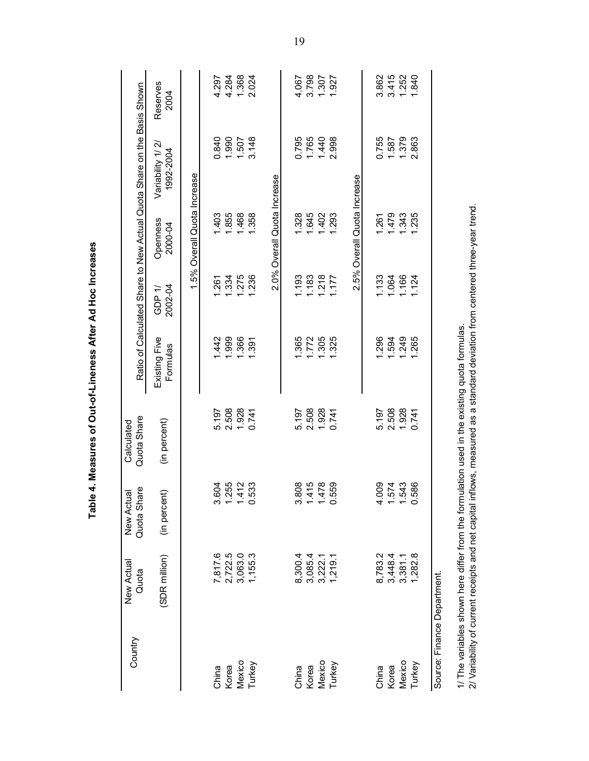| Country                     | New Actual<br>Quota | Quota Share<br>New Actual | Quota Share<br>Calculated                                                                                                    |                           |                   |                             | Ratio of Calculated Share to New Actual Quota Share on the Basis Shown |                  |
|-----------------------------|---------------------|---------------------------|------------------------------------------------------------------------------------------------------------------------------|---------------------------|-------------------|-----------------------------|------------------------------------------------------------------------|------------------|
|                             | (SDR million)       | (in percent)              | (in percent)                                                                                                                 | Existing Five<br>Formulas | 2002-04<br>GDP 1/ | Openness<br>2000-04         | Variability 1/2<br>1992-2004                                           | Reserves<br>2004 |
|                             |                     |                           |                                                                                                                              |                           |                   | 1.5% Overall Quota Increase |                                                                        |                  |
| China                       | 7,817.6             | 3.604                     | 5.197                                                                                                                        | 1.442                     | 1.261             | 1.403                       | 0.840                                                                  | 4.297            |
| Korea                       | 2,722.5             | 1.255<br>1.412            | 2.508                                                                                                                        | 1.999                     | 1.334             | 1.855                       | 1.990                                                                  | 4.284            |
| Mexico                      | 3,063.0             |                           | 1.928                                                                                                                        | 1.366                     | 1.275             | 1.468                       | 1.507                                                                  | 1.368            |
| Turkey                      | 1,155.3             | 533<br>$\ddot{\circ}$     | 0.741                                                                                                                        | 1.391                     | 1.236             | 1.358                       | 3.148                                                                  | 2.024            |
|                             |                     |                           |                                                                                                                              |                           |                   | 2.0% Overall Quota Increase |                                                                        |                  |
| China                       | 8,300.4             |                           | 5.197                                                                                                                        | 1.365                     | 1.193             | 1.328                       | 0.795                                                                  | 4.067            |
| Korea                       | 3,085.4             | 3.808<br>1.415            | 2.508                                                                                                                        | 1.772                     | 1.183             | 1.645                       | 1.765                                                                  | 3.798            |
| Mexico                      | 3,222.1             | 1.478                     | 1.928                                                                                                                        | 1.305                     | 1.218             | 1.402                       | 1.440                                                                  | 1.307            |
| Turkey                      | 1,219.1             | 559<br>$\ddot{\circ}$     | 0.741                                                                                                                        | 1.325                     | 1.177             | 1.293                       | 2.998                                                                  | 1.927            |
|                             |                     |                           |                                                                                                                              |                           |                   | 2.5% Overall Quota Increase |                                                                        |                  |
| China                       | 8,783.2             | 4.009                     | 5.197                                                                                                                        | 1.296                     | 1.133             | 1.261                       | 0.755                                                                  | 3.862            |
| Korea                       | 3,448.4             |                           | 2.508                                                                                                                        | 1.594                     | 1.064             | 1.479                       | 1.587                                                                  | 3.415            |
| Mexico                      | 3,381.1             | 1.543<br>1.543            | 1.928                                                                                                                        | 1.249                     | 1.166             | 1.343                       | 1.379                                                                  | 1.252            |
| Turkey                      | 1,282.8             | 586<br>$\ddot{\circ}$     | 0.741                                                                                                                        | 1.265                     | 124               | 1.235                       | 2.863                                                                  | 1.840            |
| Source: Finance Department. |                     |                           |                                                                                                                              |                           |                   |                             |                                                                        |                  |
|                             |                     |                           | 1/ The variables shown here differ from the formulation used in the existing quota formulas.                                 |                           |                   |                             |                                                                        |                  |
|                             |                     |                           | 2/ Variability of current receipts and net capital inflows, measured as a standard deviation from centered three-year trend. |                           |                   |                             |                                                                        |                  |

Table 4. Measures of Out-of-Lineness After Ad Hoc Increases **Table 4. Measures of Out-of-Lineness After Ad Hoc Increases** 

19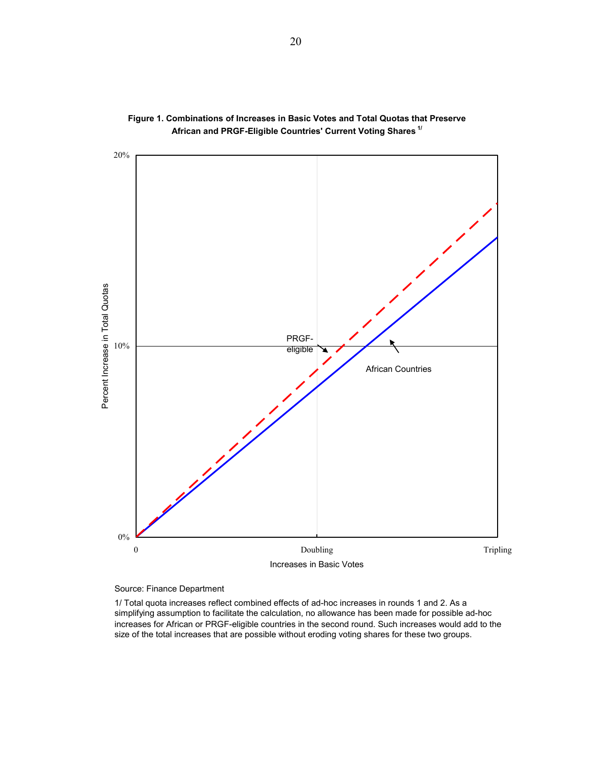



Source: Finance Department

1/ Total quota increases reflect combined effects of ad-hoc increases in rounds 1 and 2. As a simplifying assumption to facilitate the calculation, no allowance has been made for possible ad-hoc increases for African or PRGF-eligible countries in the second round. Such increases would add to the size of the total increases that are possible without eroding voting shares for these two groups.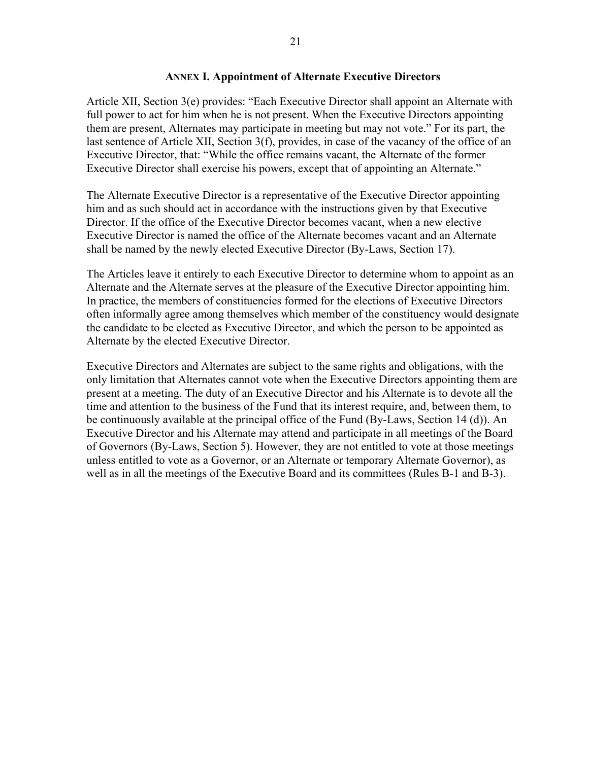### **ANNEX I. Appointment of Alternate Executive Directors**

Article XII, Section 3(e) provides: "Each Executive Director shall appoint an Alternate with full power to act for him when he is not present. When the Executive Directors appointing them are present, Alternates may participate in meeting but may not vote." For its part, the last sentence of Article XII, Section 3(f), provides, in case of the vacancy of the office of an Executive Director, that: "While the office remains vacant, the Alternate of the former Executive Director shall exercise his powers, except that of appointing an Alternate."

The Alternate Executive Director is a representative of the Executive Director appointing him and as such should act in accordance with the instructions given by that Executive Director. If the office of the Executive Director becomes vacant, when a new elective Executive Director is named the office of the Alternate becomes vacant and an Alternate shall be named by the newly elected Executive Director (By-Laws, Section 17).

The Articles leave it entirely to each Executive Director to determine whom to appoint as an Alternate and the Alternate serves at the pleasure of the Executive Director appointing him. In practice, the members of constituencies formed for the elections of Executive Directors often informally agree among themselves which member of the constituency would designate the candidate to be elected as Executive Director, and which the person to be appointed as Alternate by the elected Executive Director.

Executive Directors and Alternates are subject to the same rights and obligations, with the only limitation that Alternates cannot vote when the Executive Directors appointing them are present at a meeting. The duty of an Executive Director and his Alternate is to devote all the time and attention to the business of the Fund that its interest require, and, between them, to be continuously available at the principal office of the Fund (By-Laws, Section 14 (d)). An Executive Director and his Alternate may attend and participate in all meetings of the Board of Governors (By-Laws, Section 5). However, they are not entitled to vote at those meetings unless entitled to vote as a Governor, or an Alternate or temporary Alternate Governor), as well as in all the meetings of the Executive Board and its committees (Rules B-1 and B-3).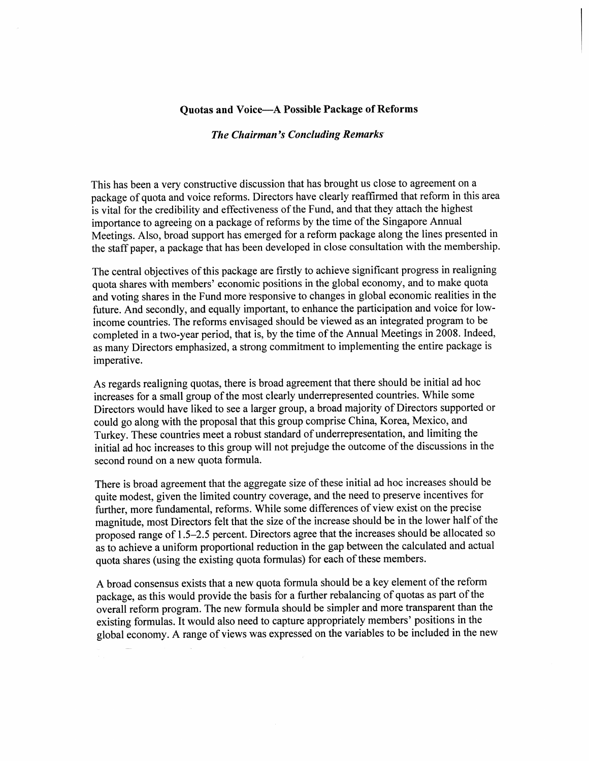### **Quotas and Voice-A Possible Package of Reforms**

#### **The Chairman's Concluding Remarks**

This has been a very constructive discussion that has brought us close to agreement on a package of quota and voice reforms. Directors have clearly reaffirmed that reform in this area is vital for the credibility and effectiveness of the Fund, and that they attach the highest importance to agreeing on a package of reforms by the time of the Singapore Annual Meetings. Also, broad support has emerged for a reform package along the lines presented in the staff paper, a package that has been developed in close consultation with the membership.

The central objectives of this package are firstly to achieve significant progress in realigning quota shares with members' economic positions in the global economy, and to make quota and voting shares in the Fund more responsive to changes in global economic realities in the future. And secondly, and equally important, to enhance the participation and voice for lowincome countries. The reforms envisaged should be viewed as an integrated program to be completed in a two-year period, that is, by the time of the Annual Meetings in 2008. Indeed, as many Directors emphasized, a strong commitment to implementing the entire package is imperative.

As regards realigning quotas, there is broad agreement that there should be initial ad hoc increases for a small group of the most clearly underrepresented countries. While some Directors would have liked to see a larger group, a broad majority of Directors supported or could go along with the proposal that this group comprise China, Korea, Mexico, and Turkey. These countries meet a robust standard of underrepresentation, and limiting the initial ad hoc increases to this group will not prejudge the outcome of the discussions in the second round on a new quota formula.

There is broad agreement that the aggregate size of these initial ad hoc increases should be quite modest, given the limited country coverage, and the need to preserve incentives for further, more fundamental, reforms. While some differences of view exist on the precise magnitude, most Directors felt that the size of the increase should be in the lower half of the proposed range of 1.5–2.5 percent. Directors agree that the increases should be allocated so as to achieve a uniform proportional reduction in the gap between the calculated and actual quota shares (using the existing quota formulas) for each of these members.

A broad consensus exists that a new quota formula should be a key element of the reform package, as this would provide the basis for a further rebalancing of quotas as part of the overall reform program. The new formula should be simpler and more transparent than the existing formulas. It would also need to capture appropriately members' positions in the global economy. A range of views was expressed on the variables to be included in the new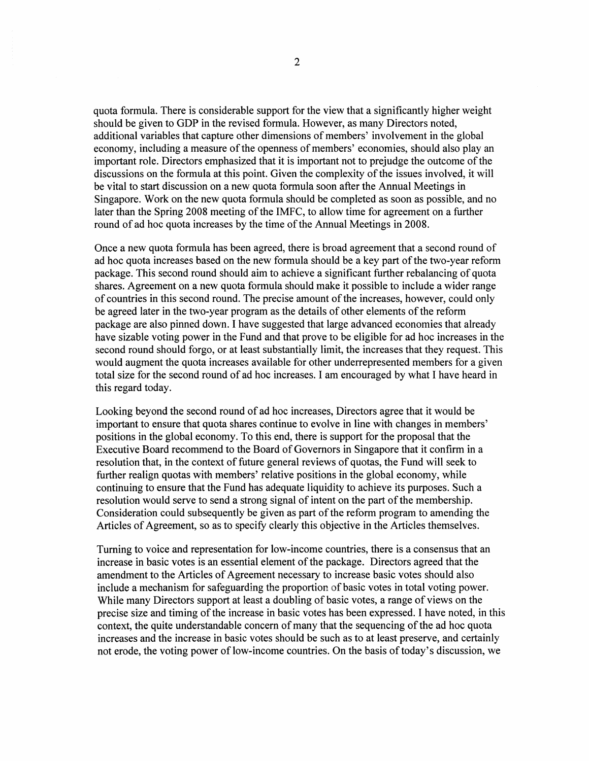quota formula. There is considerable support for the view that a significantly higher weight should be given to GDP in the revised formula. However, as many Directors noted, additional variables that capture other dimensions of members' involvement in the global economy, including a measure of the openness of members' economies, should also play an important role. Directors emphasized that it is important not to prejudge the outcome of the discussions on the formula at this point. Given the complexity of the issues involved, it will be vital to start discussion on a new quota formula soon after the Annual Meetings in Singapore. Work on the new quota formula should be completed as soon as possible, and no later than the Spring 2008 meeting of the IMFC, to allow time for agreement on a further round of ad hoc quota increases by the time of the Annual Meetings in 2008.

Once a new quota formula has been agreed, there is broad agreement that a second round of ad hoc quota increases based on the new formula should be a key part of the two-year reform package. This second round should aim to achieve a significant further rebalancing of quota shares. Agreement on a new quota formula should make it possible to include a wider range of countries in this second round. The precise amount of the increases, however, could only be agreed later in the two-year program as the details of other elements of the reform package are also pinned down. I have suggested that large advanced economies that already have sizable voting power in the Fund and that prove to be eligible for ad hoc increases in the second round should forgo, or at least substantially limit, the increases that they request. This would augment the quota increases available for other underrepresented members for a given total size for the second round of ad hoc increases. I am encouraged by what I have heard in this regard today.

Looking beyond the second round of ad hoc increases, Directors agree that it would be important to ensure that quota shares continue to evolve in line with changes in members' positions in the global economy. To this end, there is support for the proposal that the Executive Board recommend to the Board of Governors in Singapore that it confirm in a resolution that, in the context of future general reviews of quotas, the Fund will seek to further realign quotas with members' relative positions in the global economy, while continuing to ensure that the Fund has adequate liquidity to achieve its purposes. Such a resolution would serve to send a strong signal of intent on the part of the membership. Consideration could subsequently be given as part of the reform program to amending the Articles of Agreement, so as to specify clearly this objective in the Articles themselves.

Turning to voice and representation for low-income countries, there is a consensus that an increase in basic votes is an essential element of the package. Directors agreed that the amendment to the Articles of Agreement necessary to increase basic votes should also include a mechanism for safeguarding the proportion of basic votes in total voting power. While many Directors support at least a doubling of basic votes, a range of views on the precise size and timing of the increase in basic votes has been expressed. I have noted, in this context, the quite understandable concern of many that the sequencing of the ad hoc quota increases and the increase in basic votes should be such as to at least preserve, and certainly not erode, the voting power of low-income countries. On the basis of today's discussion, we